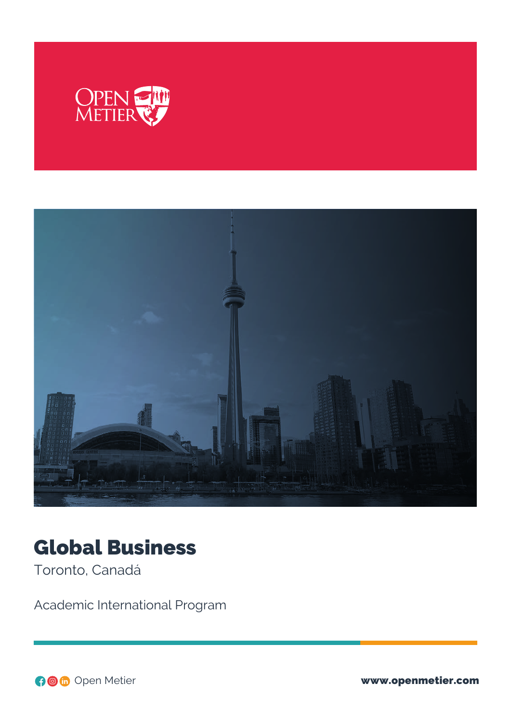



# Global Business

Toronto, Canadá

Academic International Program

Open Metier www.openmetier.com